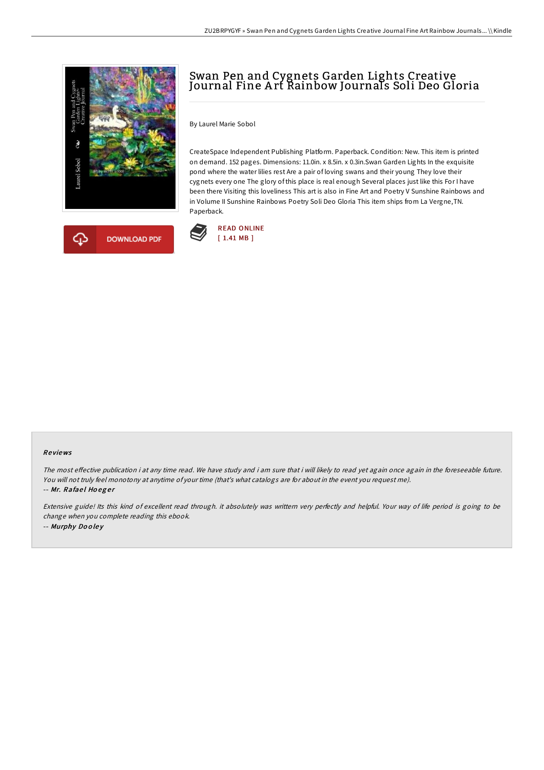



# Swan Pen and Cygnets Garden Lights Creative Journal Fine A rt Rainbow Journals Soli Deo Gloria

By Laurel Marie Sobol

CreateSpace Independent Publishing Platform. Paperback. Condition: New. This item is printed on demand. 152 pages. Dimensions: 11.0in. x 8.5in. x 0.3in.Swan Garden Lights In the exquisite pond where the water lilies rest Are a pair of loving swans and their young They love their cygnets every one The glory of this place is real enough Several places just like this For I have been there Visiting this loveliness This art is also in Fine Art and Poetry V Sunshine Rainbows and in Volume II Sunshine Rainbows Poetry Soli Deo Gloria This item ships from La Vergne,TN. Paperback.



#### Re views

The most effective publication i at any time read. We have study and i am sure that i will likely to read yet again once again in the foreseeable future. You will not truly feel monotony at anytime of your time (that's what catalogs are for about in the event you request me). -- Mr. Rafael Hoeger

Extensive guide! Its this kind of excellent read through. it absolutely was writtern very perfectly and helpful. Your way of life period is going to be change when you complete reading this ebook. -- Murphy Do <sup>o</sup> le y